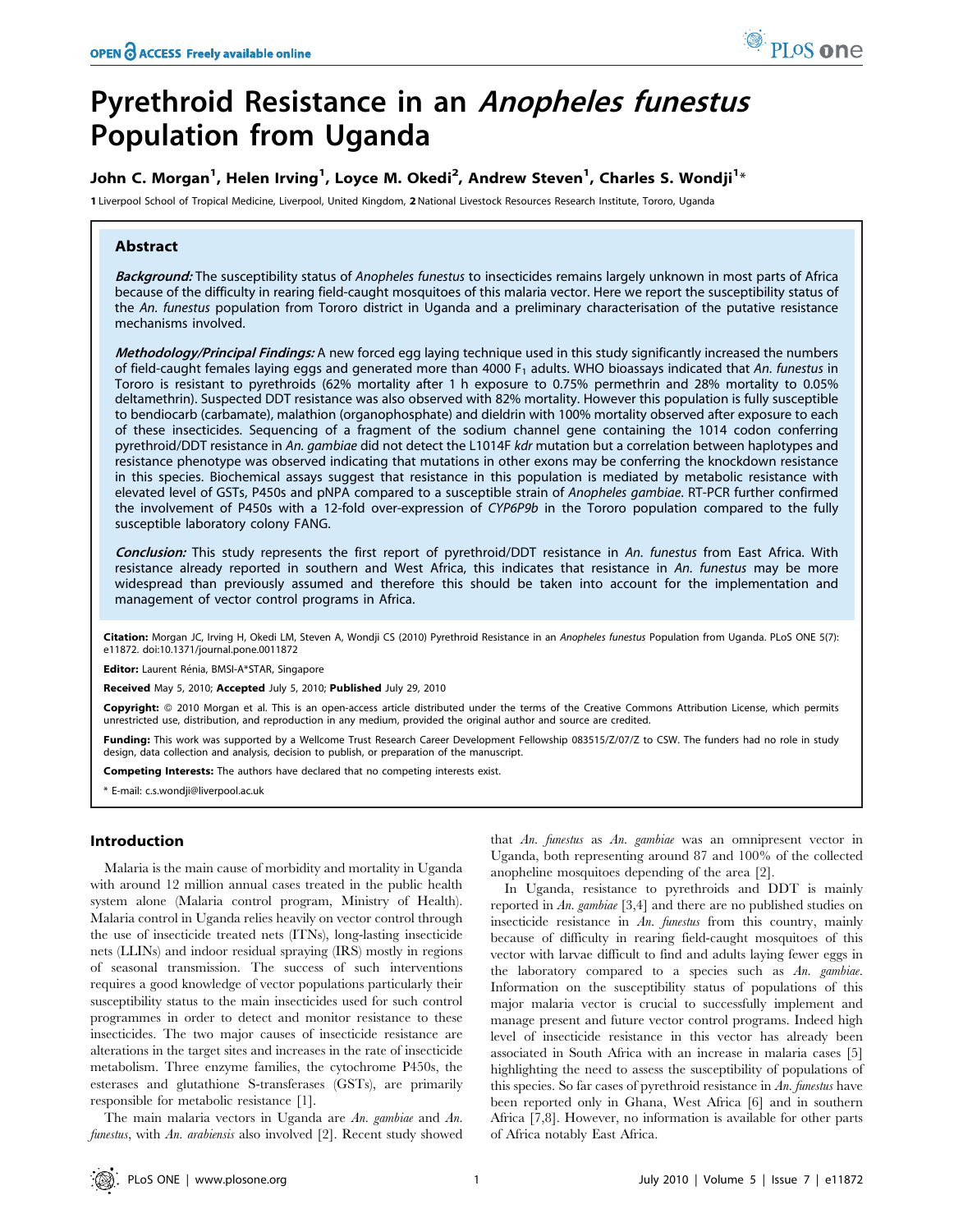# Pyrethroid Resistance in an Anopheles funestus Population from Uganda

# John C. Morgan<sup>1</sup>, Helen Irving<sup>1</sup>, Loyce M. Okedi<sup>2</sup>, Andrew Steven<sup>1</sup>, Charles S. Wondji<sup>1</sup>\*

1 Liverpool School of Tropical Medicine, Liverpool, United Kingdom, 2 National Livestock Resources Research Institute, Tororo, Uganda

## Abstract

Background: The susceptibility status of Anopheles funestus to insecticides remains largely unknown in most parts of Africa because of the difficulty in rearing field-caught mosquitoes of this malaria vector. Here we report the susceptibility status of the An. funestus population from Tororo district in Uganda and a preliminary characterisation of the putative resistance mechanisms involved.

Methodology/Principal Findings: A new forced egg laying technique used in this study significantly increased the numbers of field-caught females laying eggs and generated more than 4000 F<sub>1</sub> adults. WHO bioassays indicated that An. funestus in Tororo is resistant to pyrethroids (62% mortality after 1 h exposure to 0.75% permethrin and 28% mortality to 0.05% deltamethrin). Suspected DDT resistance was also observed with 82% mortality. However this population is fully susceptible to bendiocarb (carbamate), malathion (organophosphate) and dieldrin with 100% mortality observed after exposure to each of these insecticides. Sequencing of a fragment of the sodium channel gene containing the 1014 codon conferring pyrethroid/DDT resistance in An. gambiae did not detect the L1014F kdr mutation but a correlation between haplotypes and resistance phenotype was observed indicating that mutations in other exons may be conferring the knockdown resistance in this species. Biochemical assays suggest that resistance in this population is mediated by metabolic resistance with elevated level of GSTs, P450s and pNPA compared to a susceptible strain of Anopheles gambiae. RT-PCR further confirmed the involvement of P450s with a 12-fold over-expression of CYP6P9b in the Tororo population compared to the fully susceptible laboratory colony FANG.

Conclusion: This study represents the first report of pyrethroid/DDT resistance in An. funestus from East Africa. With resistance already reported in southern and West Africa, this indicates that resistance in An. funestus may be more widespread than previously assumed and therefore this should be taken into account for the implementation and management of vector control programs in Africa.

Citation: Morgan JC, Irving H, Okedi LM, Steven A, Wondji CS (2010) Pyrethroid Resistance in an Anopheles funestus Population from Uganda. PLoS ONE 5(7): e11872. doi:10.1371/journal.pone.0011872

Editor: Laurent Rénia, BMSI-A\*STAR, Singapore

Received May 5, 2010; Accepted July 5, 2010; Published July 29, 2010

**Copyright:** © 2010 Morgan et al. This is an open-access article distributed under the terms of the Creative Commons Attribution License, which permits unrestricted use, distribution, and reproduction in any medium, provided the original author and source are credited.

Funding: This work was supported by a Wellcome Trust Research Career Development Fellowship 083515/Z/07/Z to CSW. The funders had no role in study design, data collection and analysis, decision to publish, or preparation of the manuscript.

Competing Interests: The authors have declared that no competing interests exist.

\* E-mail: c.s.wondji@liverpool.ac.uk

## Introduction

Malaria is the main cause of morbidity and mortality in Uganda with around 12 million annual cases treated in the public health system alone (Malaria control program, Ministry of Health). Malaria control in Uganda relies heavily on vector control through the use of insecticide treated nets (ITNs), long-lasting insecticide nets (LLINs) and indoor residual spraying (IRS) mostly in regions of seasonal transmission. The success of such interventions requires a good knowledge of vector populations particularly their susceptibility status to the main insecticides used for such control programmes in order to detect and monitor resistance to these insecticides. The two major causes of insecticide resistance are alterations in the target sites and increases in the rate of insecticide metabolism. Three enzyme families, the cytochrome P450s, the esterases and glutathione S-transferases (GSTs), are primarily responsible for metabolic resistance [1].

The main malaria vectors in Uganda are An. gambiae and An. funestus, with An. arabiensis also involved [2]. Recent study showed

that An. funestus as An. gambiae was an omnipresent vector in Uganda, both representing around 87 and 100% of the collected anopheline mosquitoes depending of the area [2].

In Uganda, resistance to pyrethroids and DDT is mainly reported in An. gambiae [3,4] and there are no published studies on insecticide resistance in An. funestus from this country, mainly because of difficulty in rearing field-caught mosquitoes of this vector with larvae difficult to find and adults laying fewer eggs in the laboratory compared to a species such as An. gambiae. Information on the susceptibility status of populations of this major malaria vector is crucial to successfully implement and manage present and future vector control programs. Indeed high level of insecticide resistance in this vector has already been associated in South Africa with an increase in malaria cases [5] highlighting the need to assess the susceptibility of populations of this species. So far cases of pyrethroid resistance in An. funestus have been reported only in Ghana, West Africa [6] and in southern Africa [7,8]. However, no information is available for other parts of Africa notably East Africa.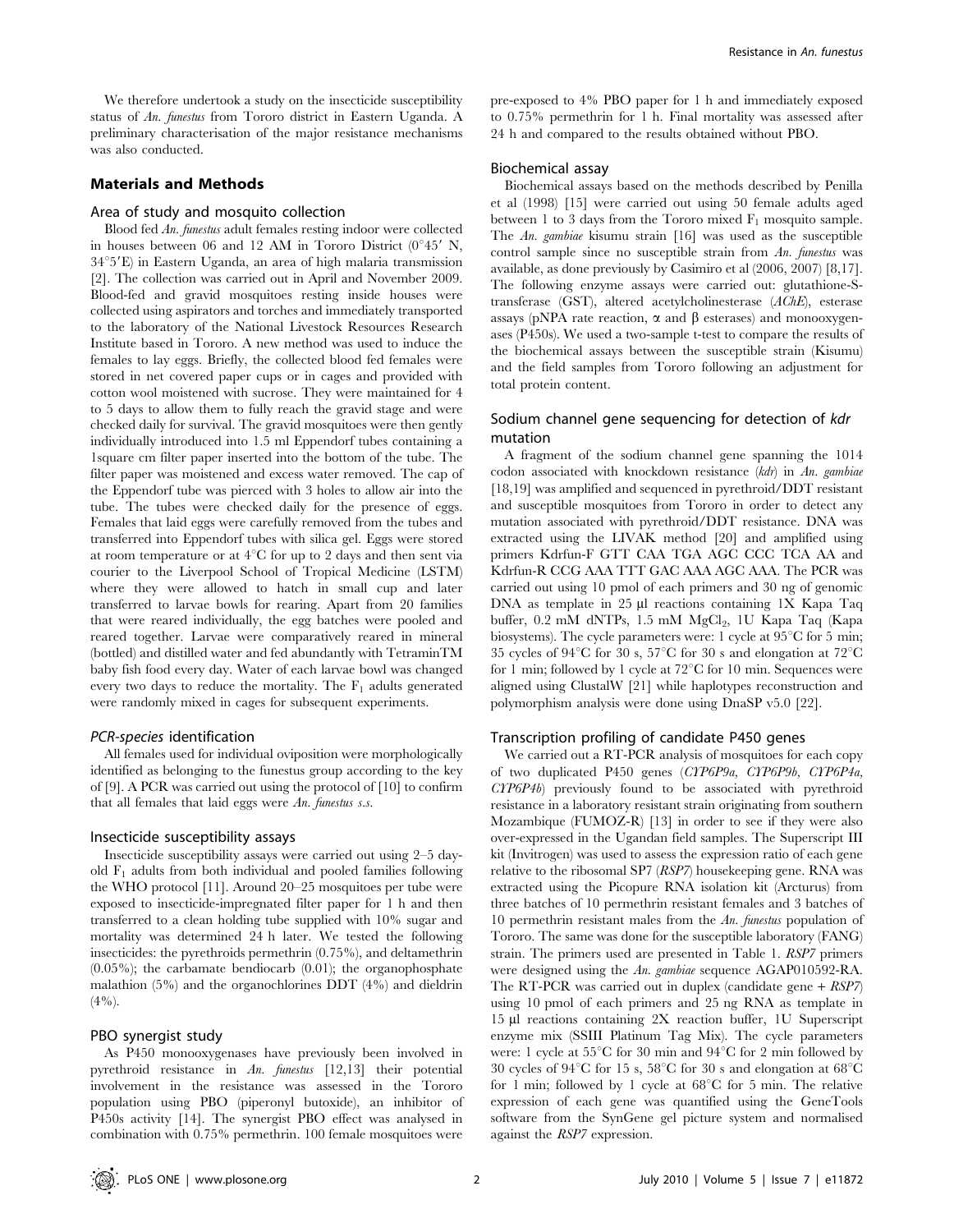We therefore undertook a study on the insecticide susceptibility status of An. funestus from Tororo district in Eastern Uganda. A preliminary characterisation of the major resistance mechanisms was also conducted.

## Materials and Methods

#### Area of study and mosquito collection

Blood fed An. funestus adult females resting indoor were collected in houses between 06 and 12 AM in Tororo District  $(0°45'$  N,  $34°5'E$ ) in Eastern Uganda, an area of high malaria transmission [2]. The collection was carried out in April and November 2009. Blood-fed and gravid mosquitoes resting inside houses were collected using aspirators and torches and immediately transported to the laboratory of the National Livestock Resources Research Institute based in Tororo. A new method was used to induce the females to lay eggs. Briefly, the collected blood fed females were stored in net covered paper cups or in cages and provided with cotton wool moistened with sucrose. They were maintained for 4 to 5 days to allow them to fully reach the gravid stage and were checked daily for survival. The gravid mosquitoes were then gently individually introduced into 1.5 ml Eppendorf tubes containing a 1square cm filter paper inserted into the bottom of the tube. The filter paper was moistened and excess water removed. The cap of the Eppendorf tube was pierced with 3 holes to allow air into the tube. The tubes were checked daily for the presence of eggs. Females that laid eggs were carefully removed from the tubes and transferred into Eppendorf tubes with silica gel. Eggs were stored at room temperature or at  $4^{\circ}$ C for up to 2 days and then sent via courier to the Liverpool School of Tropical Medicine (LSTM) where they were allowed to hatch in small cup and later transferred to larvae bowls for rearing. Apart from 20 families that were reared individually, the egg batches were pooled and reared together. Larvae were comparatively reared in mineral (bottled) and distilled water and fed abundantly with TetraminTM baby fish food every day. Water of each larvae bowl was changed every two days to reduce the mortality. The  $F_1$  adults generated were randomly mixed in cages for subsequent experiments.

## PCR-species identification

All females used for individual oviposition were morphologically identified as belonging to the funestus group according to the key of [9]. A PCR was carried out using the protocol of [10] to confirm that all females that laid eggs were An. funestus s.s.

#### Insecticide susceptibility assays

Insecticide susceptibility assays were carried out using 2–5 dayold  $F_1$  adults from both individual and pooled families following the WHO protocol [11]. Around 20–25 mosquitoes per tube were exposed to insecticide-impregnated filter paper for 1 h and then transferred to a clean holding tube supplied with 10% sugar and mortality was determined 24 h later. We tested the following insecticides: the pyrethroids permethrin (0.75%), and deltamethrin  $(0.05\%)$ ; the carbamate bendiocarb  $(0.01)$ ; the organophosphate malathion (5%) and the organochlorines DDT (4%) and dieldrin  $(4\%)$ .

## PBO synergist study

As P450 monooxygenases have previously been involved in pyrethroid resistance in An. funestus [12,13] their potential involvement in the resistance was assessed in the Tororo population using PBO (piperonyl butoxide), an inhibitor of P450s activity [14]. The synergist PBO effect was analysed in combination with 0.75% permethrin. 100 female mosquitoes were

pre-exposed to 4% PBO paper for 1 h and immediately exposed to 0.75% permethrin for 1 h. Final mortality was assessed after 24 h and compared to the results obtained without PBO.

#### Biochemical assay

Biochemical assays based on the methods described by Penilla et al (1998) [15] were carried out using 50 female adults aged between 1 to 3 days from the Tororo mixed  $F_1$  mosquito sample. The An. gambiae kisumu strain [16] was used as the susceptible control sample since no susceptible strain from An. funestus was available, as done previously by Casimiro et al (2006, 2007) [8,17]. The following enzyme assays were carried out: glutathione-Stransferase (GST), altered acetylcholinesterase (AChE), esterase assays (pNPA rate reaction,  $\alpha$  and  $\beta$  esterases) and monooxygenases (P450s). We used a two-sample t-test to compare the results of the biochemical assays between the susceptible strain (Kisumu) and the field samples from Tororo following an adjustment for total protein content.

## Sodium channel gene sequencing for detection of kdr mutation

A fragment of the sodium channel gene spanning the 1014 codon associated with knockdown resistance (kdr) in An. gambiae [18,19] was amplified and sequenced in pyrethroid/DDT resistant and susceptible mosquitoes from Tororo in order to detect any mutation associated with pyrethroid/DDT resistance. DNA was extracted using the LIVAK method [20] and amplified using primers Kdrfun-F GTT CAA TGA AGC CCC TCA AA and Kdrfun-R CCG AAA TTT GAC AAA AGC AAA. The PCR was carried out using 10 pmol of each primers and 30 ng of genomic DNA as template in  $25 \mu l$  reactions containing 1X Kapa Taq buffer, 0.2 mM dNTPs, 1.5 mM MgCl<sub>2</sub>, 1U Kapa Taq (Kapa biosystems). The cycle parameters were: 1 cycle at  $95^{\circ}$ C for 5 min; 35 cycles of 94 $^{\circ}$ C for 30 s, 57 $^{\circ}$ C for 30 s and elongation at 72 $^{\circ}$ C for 1 min; followed by 1 cycle at  $72^{\circ}$ C for 10 min. Sequences were aligned using ClustalW [21] while haplotypes reconstruction and polymorphism analysis were done using DnaSP v5.0 [22].

#### Transcription profiling of candidate P450 genes

We carried out a RT-PCR analysis of mosquitoes for each copy of two duplicated P450 genes (CYP6P9a, CYP6P9b, CYP6P4a, CYP6P4b) previously found to be associated with pyrethroid resistance in a laboratory resistant strain originating from southern Mozambique (FUMOZ-R) [13] in order to see if they were also over-expressed in the Ugandan field samples. The Superscript III kit (Invitrogen) was used to assess the expression ratio of each gene relative to the ribosomal SP7 (RSP7) housekeeping gene. RNA was extracted using the Picopure RNA isolation kit (Arcturus) from three batches of 10 permethrin resistant females and 3 batches of 10 permethrin resistant males from the An. funestus population of Tororo. The same was done for the susceptible laboratory (FANG) strain. The primers used are presented in Table 1. RSP7 primers were designed using the An. gambiae sequence AGAP010592-RA. The RT-PCR was carried out in duplex (candidate gene  $+ RSP7$ ) using 10 pmol of each primers and 25 ng RNA as template in 15 ml reactions containing 2X reaction buffer, 1U Superscript enzyme mix (SSIII Platinum Tag Mix). The cycle parameters were: 1 cycle at  $55^{\circ}$ C for 30 min and  $94^{\circ}$ C for 2 min followed by 30 cycles of 94 $^{\circ}$ C for 15 s, 58 $^{\circ}$ C for 30 s and elongation at 68 $^{\circ}$ C for 1 min; followed by 1 cycle at  $68^{\circ}$ C for 5 min. The relative expression of each gene was quantified using the GeneTools software from the SynGene gel picture system and normalised against the RSP7 expression.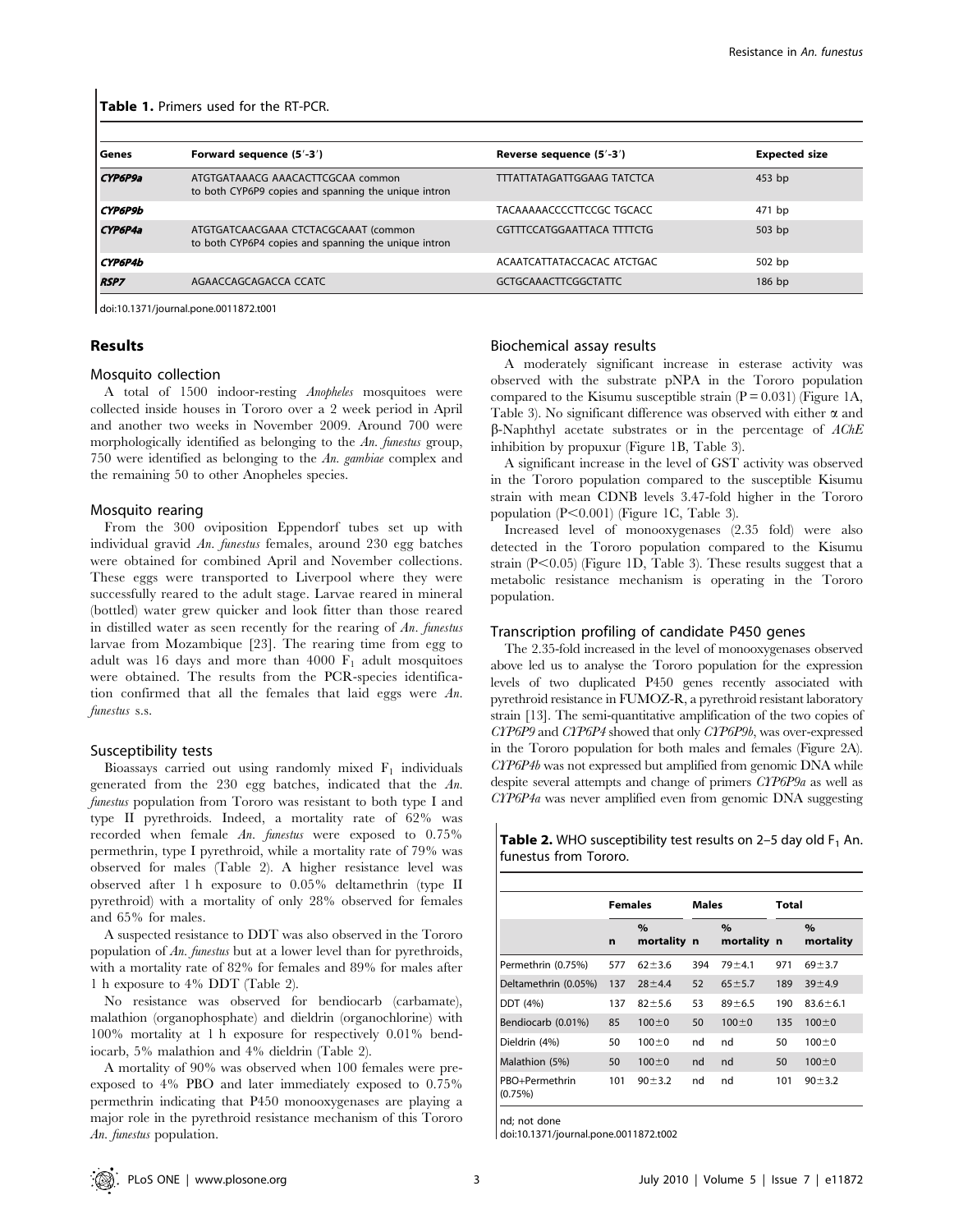| Genes          | Forward sequence (5'-3')                                                                     | Reverse sequence (5'-3')          | <b>Expected size</b> |
|----------------|----------------------------------------------------------------------------------------------|-----------------------------------|----------------------|
| CYP6P9a        | ATGTGATAAACG AAACACTTCGCAA common<br>to both CYP6P9 copies and spanning the unique intron    | <b>TTTATTATAGATTGGAAG TATCTCA</b> | $453$ bp             |
| <b>CYP6P9b</b> |                                                                                              | TACAAAAACCCCTTCCGC TGCACC         | 471 bp               |
| CYP6P4a        | ATGTGATCAACGAAA CTCTACGCAAAT (common<br>to both CYP6P4 copies and spanning the unique intron | CGTTTCCATGGAATTACA TTTTCTG        | $503$ bp             |
| <b>CYP6P4b</b> |                                                                                              | ACAATCATTATACCACAC ATCTGAC        | 502 bp               |
| <b>RSP7</b>    | AGAACCAGCAGACCA CCATC                                                                        | <b>GCTGCAAACTTCGGCTATTC</b>       | $186$ bp             |

doi:10.1371/journal.pone.0011872.t001

## Results

## Mosquito collection

A total of 1500 indoor-resting Anopheles mosquitoes were collected inside houses in Tororo over a 2 week period in April and another two weeks in November 2009. Around 700 were morphologically identified as belonging to the An. funestus group, 750 were identified as belonging to the An. gambiae complex and the remaining 50 to other Anopheles species.

#### Mosquito rearing

From the 300 oviposition Eppendorf tubes set up with individual gravid An. funestus females, around 230 egg batches were obtained for combined April and November collections. These eggs were transported to Liverpool where they were successfully reared to the adult stage. Larvae reared in mineral (bottled) water grew quicker and look fitter than those reared in distilled water as seen recently for the rearing of  $An.$  funestus larvae from Mozambique [23]. The rearing time from egg to adult was 16 days and more than 4000  $F_1$  adult mosquitoes were obtained. The results from the PCR-species identification confirmed that all the females that laid eggs were An. funestus s.s.

#### Susceptibility tests

Bioassays carried out using randomly mixed  $F_1$  individuals generated from the 230 egg batches, indicated that the An. funestus population from Tororo was resistant to both type I and type II pyrethroids. Indeed, a mortality rate of 62% was recorded when female An. funestus were exposed to 0.75% permethrin, type I pyrethroid, while a mortality rate of 79% was observed for males (Table 2). A higher resistance level was observed after 1 h exposure to 0.05% deltamethrin (type II pyrethroid) with a mortality of only 28% observed for females and 65% for males.

A suspected resistance to DDT was also observed in the Tororo population of An. funestus but at a lower level than for pyrethroids, with a mortality rate of 82% for females and 89% for males after 1 h exposure to 4% DDT (Table 2).

No resistance was observed for bendiocarb (carbamate), malathion (organophosphate) and dieldrin (organochlorine) with 100% mortality at 1 h exposure for respectively 0.01% bendiocarb, 5% malathion and 4% dieldrin (Table 2).

A mortality of 90% was observed when 100 females were preexposed to 4% PBO and later immediately exposed to 0.75% permethrin indicating that P450 monooxygenases are playing a major role in the pyrethroid resistance mechanism of this Tororo An. funestus population.

## Biochemical assay results

A moderately significant increase in esterase activity was observed with the substrate pNPA in the Tororo population compared to the Kisumu susceptible strain  $(P = 0.031)$  (Figure 1A, Table 3). No significant difference was observed with either  $\alpha$  and  $\beta$ -Naphthyl acetate substrates or in the percentage of AChE inhibition by propuxur (Figure 1B, Table 3).

A significant increase in the level of GST activity was observed in the Tororo population compared to the susceptible Kisumu strain with mean CDNB levels 3.47-fold higher in the Tororo population  $(P<0.001)$  (Figure 1C, Table 3).

Increased level of monooxygenases (2.35 fold) were also detected in the Tororo population compared to the Kisumu strain  $(P<0.05)$  (Figure 1D, Table 3). These results suggest that a metabolic resistance mechanism is operating in the Tororo population.

#### Transcription profiling of candidate P450 genes

The 2.35-fold increased in the level of monooxygenases observed above led us to analyse the Tororo population for the expression levels of two duplicated P450 genes recently associated with pyrethroid resistance in FUMOZ-R, a pyrethroid resistant laboratory strain [13]. The semi-quantitative amplification of the two copies of CYP6P9 and CYP6P4 showed that only CYP6P9b, was over-expressed in the Tororo population for both males and females (Figure 2A). CYP6P4b was not expressed but amplified from genomic DNA while despite several attempts and change of primers CYP6P9a as well as CYP6P4a was never amplified even from genomic DNA suggesting

| <b>Table 2.</b> WHO susceptibility test results on 2-5 day old $F_1$ An. |  |
|--------------------------------------------------------------------------|--|
| funestus from Tororo.                                                    |  |

|                           | <b>Females</b> |                     | <b>Males</b> |                     | Total |                   |
|---------------------------|----------------|---------------------|--------------|---------------------|-------|-------------------|
|                           | n              | $\%$<br>mortality n |              | $\%$<br>mortality n |       | $\%$<br>mortality |
| Permethrin (0.75%)        | 577            | $62 + 3.6$          | 394          | $79 + 4.1$          | 971   | $69 + 3.7$        |
| Deltamethrin (0.05%)      | 137            | $28 + 4.4$          | 52           | $65 + 5.7$          | 189   | $39 + 4.9$        |
| DDT (4%)                  | 137            | $82 + 5.6$          | 53           | $89 + 6.5$          | 190   | $83.6 \pm 6.1$    |
| Bendiocarb (0.01%)        | 85             | $100 \pm 0$         | 50           | $100 \pm 0$         | 135   | $100 \pm 0$       |
| Dieldrin (4%)             | 50             | $100 \pm 0$         | nd           | nd                  | 50    | $100 \pm 0$       |
| Malathion (5%)            | 50             | $100 \pm 0$         | nd           | nd                  | 50    | $100 \pm 0$       |
| PBO+Permethrin<br>(0.75%) | 101            | $90 + 3.2$          | nd           | nd                  | 101   | $90 + 3.2$        |

nd; not done

doi:10.1371/journal.pone.0011872.t002

 $\mathbf{I}$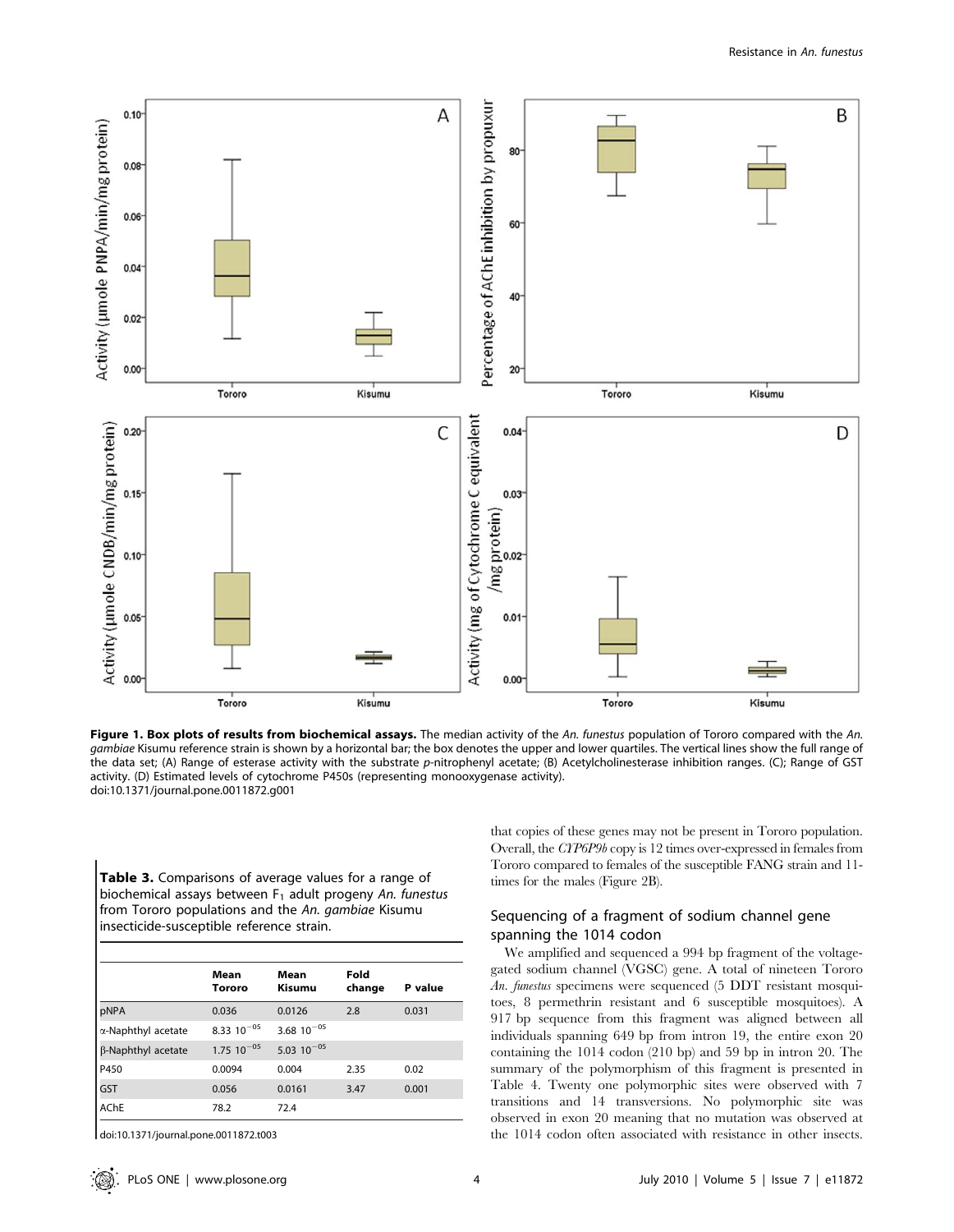

Figure 1. Box plots of results from biochemical assays. The median activity of the An. funestus population of Tororo compared with the An. gambiae Kisumu reference strain is shown by a horizontal bar; the box denotes the upper and lower quartiles. The vertical lines show the full range of the data set; (A) Range of esterase activity with the substrate p-nitrophenyl acetate; (B) Acetylcholinesterase inhibition ranges. (C); Range of GST activity. (D) Estimated levels of cytochrome P450s (representing monooxygenase activity). doi:10.1371/journal.pone.0011872.g001

Table 3. Comparisons of average values for a range of biochemical assays between  $F_1$  adult progeny An. funestus from Tororo populations and the An. gambiae Kisumu insecticide-susceptible reference strain.

|                    | Mean<br>Tororo    | Mean<br>Kisumu  | Fold<br>change | P value |
|--------------------|-------------------|-----------------|----------------|---------|
| pNPA               | 0.036             | 0.0126          | 2.8            | 0.031   |
| α-Naphthyl acetate | 8.33 $10^{-05}$   | 3.68 $10^{-05}$ |                |         |
| β-Naphthyl acetate | $1.75$ $10^{-05}$ | 5.03 $10^{-05}$ |                |         |
| P450               | 0.0094            | 0.004           | 2.35           | 0.02    |
| GST                | 0.056             | 0.0161          | 3.47           | 0.001   |
| <b>AChE</b>        | 78.2              | 72.4            |                |         |

doi:10.1371/journal.pone.0011872.t003

that copies of these genes may not be present in Tororo population. Overall, the CYP6P9b copy is 12 times over-expressed in females from Tororo compared to females of the susceptible FANG strain and 11 times for the males (Figure 2B).

## Sequencing of a fragment of sodium channel gene spanning the 1014 codon

We amplified and sequenced a 994 bp fragment of the voltagegated sodium channel (VGSC) gene. A total of nineteen Tororo An. funestus specimens were sequenced (5 DDT resistant mosquitoes, 8 permethrin resistant and 6 susceptible mosquitoes). A 917 bp sequence from this fragment was aligned between all individuals spanning 649 bp from intron 19, the entire exon 20 containing the 1014 codon (210 bp) and 59 bp in intron 20. The summary of the polymorphism of this fragment is presented in Table 4. Twenty one polymorphic sites were observed with 7 transitions and 14 transversions. No polymorphic site was observed in exon 20 meaning that no mutation was observed at the 1014 codon often associated with resistance in other insects.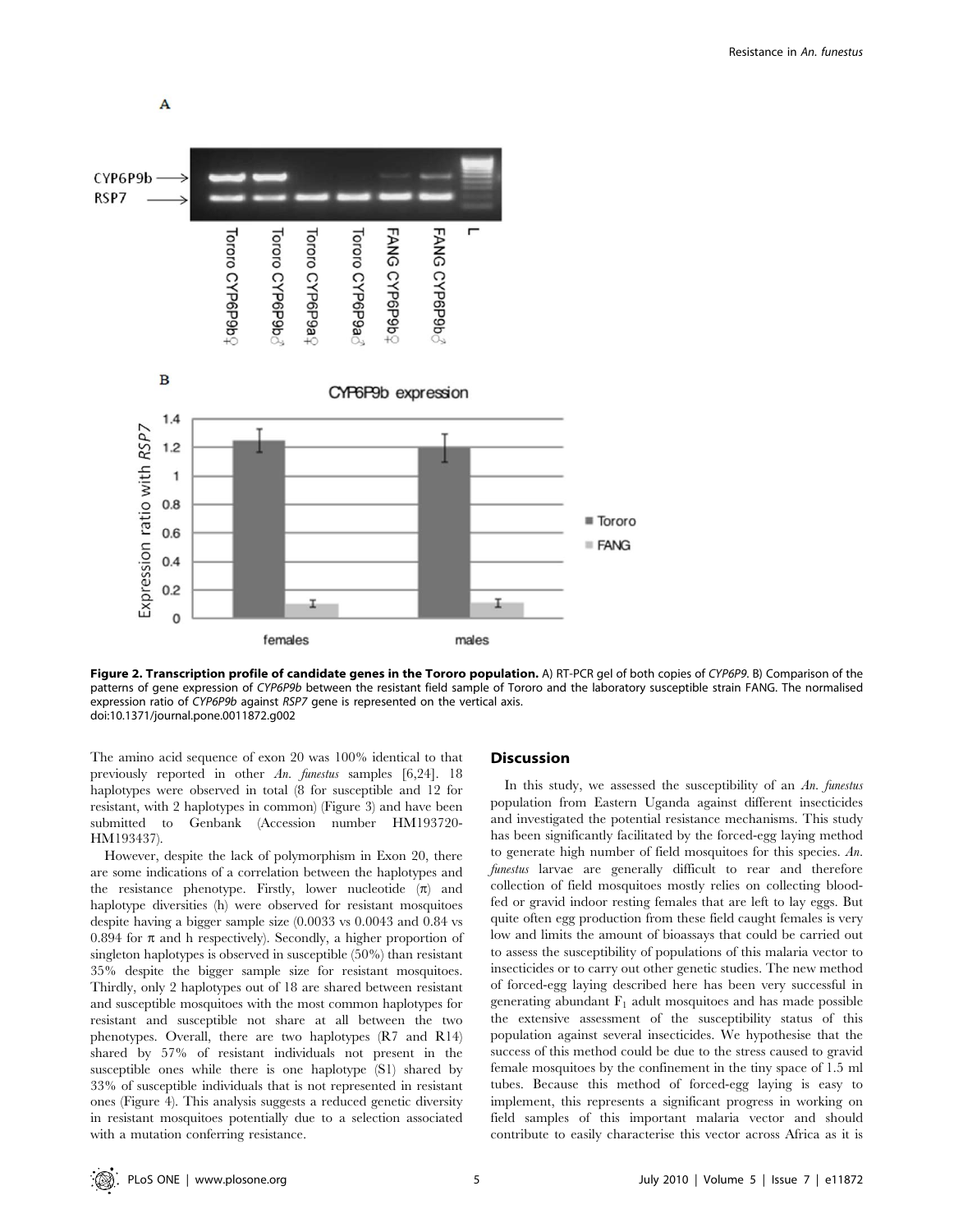



Figure 2. Transcription profile of candidate genes in the Tororo population. A) RT-PCR gel of both copies of CYP6P9. B) Comparison of the patterns of gene expression of CYP6P9b between the resistant field sample of Tororo and the laboratory susceptible strain FANG. The normalised expression ratio of CYP6P9b against RSP7 gene is represented on the vertical axis. doi:10.1371/journal.pone.0011872.g002

The amino acid sequence of exon 20 was 100% identical to that previously reported in other An. funestus samples [6,24]. 18 haplotypes were observed in total (8 for susceptible and 12 for resistant, with 2 haplotypes in common) (Figure 3) and have been submitted to Genbank (Accession number HM193720- HM193437).

However, despite the lack of polymorphism in Exon 20, there are some indications of a correlation between the haplotypes and the resistance phenotype. Firstly, lower nucleotide  $(\pi)$  and haplotype diversities (h) were observed for resistant mosquitoes despite having a bigger sample size (0.0033 vs 0.0043 and 0.84 vs 0.894 for  $\pi$  and h respectively). Secondly, a higher proportion of singleton haplotypes is observed in susceptible (50%) than resistant 35% despite the bigger sample size for resistant mosquitoes. Thirdly, only 2 haplotypes out of 18 are shared between resistant and susceptible mosquitoes with the most common haplotypes for resistant and susceptible not share at all between the two phenotypes. Overall, there are two haplotypes (R7 and R14) shared by 57% of resistant individuals not present in the susceptible ones while there is one haplotype (S1) shared by 33% of susceptible individuals that is not represented in resistant ones (Figure 4). This analysis suggests a reduced genetic diversity in resistant mosquitoes potentially due to a selection associated with a mutation conferring resistance.

#### Discussion

In this study, we assessed the susceptibility of an An. funestus population from Eastern Uganda against different insecticides and investigated the potential resistance mechanisms. This study has been significantly facilitated by the forced-egg laying method to generate high number of field mosquitoes for this species. An. funestus larvae are generally difficult to rear and therefore collection of field mosquitoes mostly relies on collecting bloodfed or gravid indoor resting females that are left to lay eggs. But quite often egg production from these field caught females is very low and limits the amount of bioassays that could be carried out to assess the susceptibility of populations of this malaria vector to insecticides or to carry out other genetic studies. The new method of forced-egg laying described here has been very successful in generating abundant  $F_1$  adult mosquitoes and has made possible the extensive assessment of the susceptibility status of this population against several insecticides. We hypothesise that the success of this method could be due to the stress caused to gravid female mosquitoes by the confinement in the tiny space of 1.5 ml tubes. Because this method of forced-egg laying is easy to implement, this represents a significant progress in working on field samples of this important malaria vector and should contribute to easily characterise this vector across Africa as it is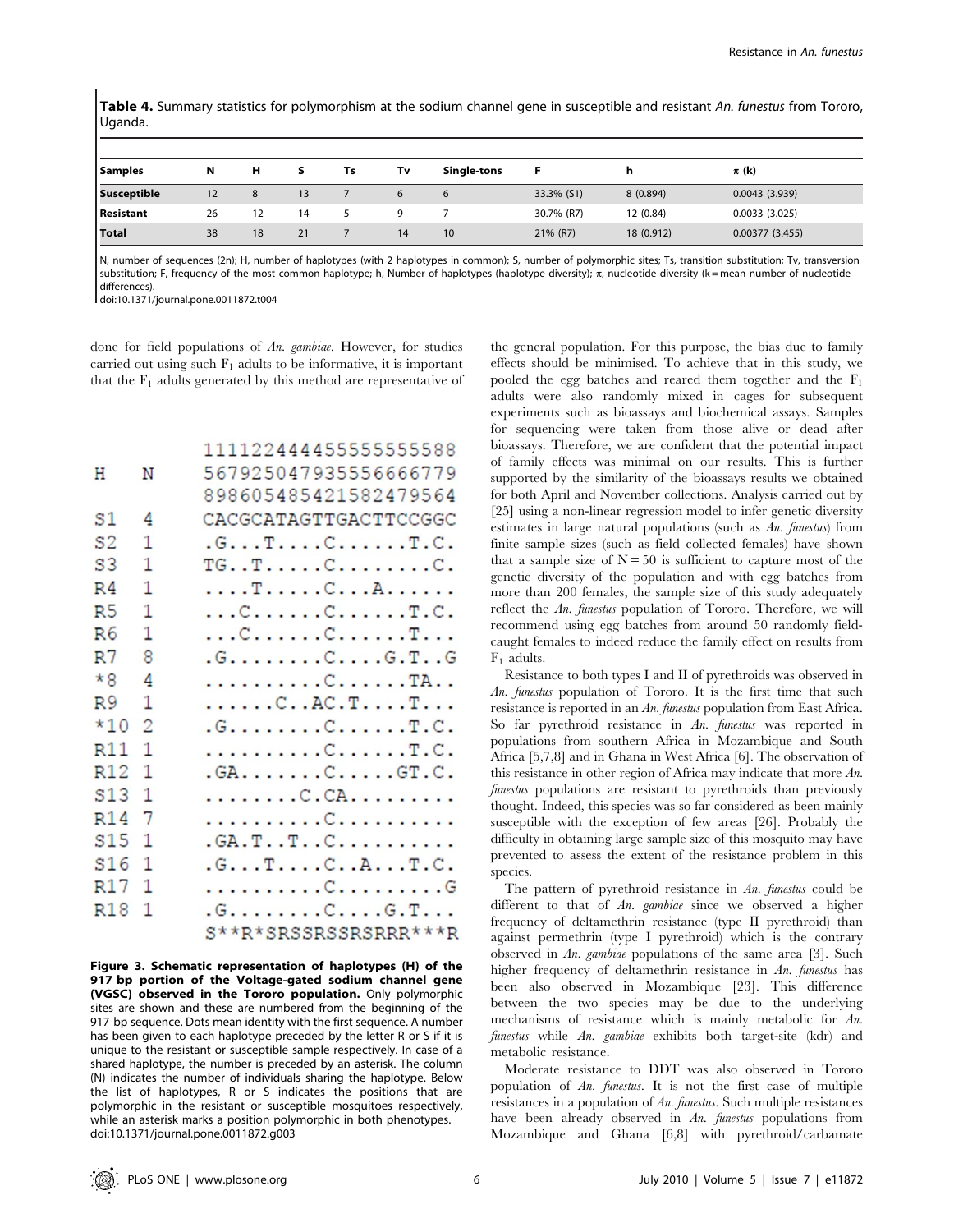Table 4. Summary statistics for polymorphism at the sodium channel gene in susceptible and resistant An. funestus from Tororo, Uganda.

| <b>Samples</b>     | N  | н  | s  | Ts | Tv | Single-tons |            | h          | $\pi$ (k)      |
|--------------------|----|----|----|----|----|-------------|------------|------------|----------------|
| <b>Susceptible</b> | 12 | 8  | 13 |    | 6  | 6           | 33.3% (S1) | 8 (0.894)  | 0.0043(3.939)  |
| <b>Resistant</b>   | 26 | 12 | 14 |    |    |             | 30.7% (R7) | 12 (0.84)  | 0.0033(3.025)  |
| Total              | 38 | 18 | 21 |    | 14 | 10          | 21% (R7)   | 18 (0.912) | 0.00377(3.455) |

N, number of sequences (2n); H, number of haplotypes (with 2 haplotypes in common); S, number of polymorphic sites; Ts, transition substitution; Tv, transversion substitution; F, frequency of the most common haplotype; h, Number of haplotypes (haplotype diversity);  $\pi$ , nucleotide diversity (k = mean number of nucleotide differences).

doi:10.1371/journal.pone.0011872.t004

done for field populations of An. gambiae. However, for studies carried out using such  $F_1$  adults to be informative, it is important that the  $F_1$  adults generated by this method are representative of

|                |                | 111122444455555555588                                 |
|----------------|----------------|-------------------------------------------------------|
| Н              | N              | 567925047935556666779                                 |
|                |                | 898605485421582479564                                 |
| S1             | 4              | CACGCATAGTTGACTTCCGGC                                 |
| S <sub>2</sub> | 1              | .G. T. C. T. C.                                       |
| S <sub>3</sub> | 1              | $TG \ldots T \ldots C \ldots \ldots C.$               |
| R <sub>4</sub> | 1              | . T C A                                               |
| R <sub>5</sub> | 1              | $\ldots$ C. $\ldots$ . C. $\ldots$ . T. C.            |
| R6             | 1              | $\ldots$ C. $\ldots$ . C. $\ldots$ . T. $\ldots$      |
| R <sub>7</sub> | 8              | $.G. \ldots G. \ldots G. \ldots G.T. G$               |
| $*8$           | $\overline{4}$ | . C. TA. .                                            |
| R <sub>9</sub> | 1              |                                                       |
| $*10$          | $\overline{c}$ | $.G. \ldots \ldots \ldots C \ldots \ldots T \ldots C$ |
| R11            | 1              | . C T . C .                                           |
| R12            | 1              | .GA. C GT . C .                                       |
| S13            | 1              |                                                       |
| R14            | 7              |                                                       |
| S15            | 1              | .GA.TTC                                               |
| S16            | $\mathbf{1}$   | .G. T. C. . A. T. C.                                  |
| R17            | 1              |                                                       |
| R18            | $\mathbf{1}$   | $.G. \ldots \ldots \ldots C \ldots \ldots G \ldots$   |
|                |                | S**R*SRSSRSSRSRRR***R                                 |

Figure 3. Schematic representation of haplotypes (H) of the 917 bp portion of the Voltage-gated sodium channel gene (VGSC) observed in the Tororo population. Only polymorphic sites are shown and these are numbered from the beginning of the 917 bp sequence. Dots mean identity with the first sequence. A number has been given to each haplotype preceded by the letter R or S if it is unique to the resistant or susceptible sample respectively. In case of a shared haplotype, the number is preceded by an asterisk. The column (N) indicates the number of individuals sharing the haplotype. Below the list of haplotypes, R or S indicates the positions that are polymorphic in the resistant or susceptible mosquitoes respectively, while an asterisk marks a position polymorphic in both phenotypes. doi:10.1371/journal.pone.0011872.g003

the general population. For this purpose, the bias due to family effects should be minimised. To achieve that in this study, we pooled the egg batches and reared them together and the  $F_1$ adults were also randomly mixed in cages for subsequent experiments such as bioassays and biochemical assays. Samples for sequencing were taken from those alive or dead after bioassays. Therefore, we are confident that the potential impact of family effects was minimal on our results. This is further supported by the similarity of the bioassays results we obtained for both April and November collections. Analysis carried out by [25] using a non-linear regression model to infer genetic diversity estimates in large natural populations (such as An. funestus) from finite sample sizes (such as field collected females) have shown that a sample size of  $N = 50$  is sufficient to capture most of the genetic diversity of the population and with egg batches from more than 200 females, the sample size of this study adequately reflect the An. funestus population of Tororo. Therefore, we will recommend using egg batches from around 50 randomly fieldcaught females to indeed reduce the family effect on results from  $F_1$  adults.

Resistance to both types I and II of pyrethroids was observed in An. funestus population of Tororo. It is the first time that such resistance is reported in an An. funestus population from East Africa. So far pyrethroid resistance in An. funestus was reported in populations from southern Africa in Mozambique and South Africa [5,7,8] and in Ghana in West Africa [6]. The observation of this resistance in other region of Africa may indicate that more  $An$ . funestus populations are resistant to pyrethroids than previously thought. Indeed, this species was so far considered as been mainly susceptible with the exception of few areas [26]. Probably the difficulty in obtaining large sample size of this mosquito may have prevented to assess the extent of the resistance problem in this species.

The pattern of pyrethroid resistance in An. funestus could be different to that of An. gambiae since we observed a higher frequency of deltamethrin resistance (type II pyrethroid) than against permethrin (type I pyrethroid) which is the contrary observed in An. gambiae populations of the same area [3]. Such higher frequency of deltamethrin resistance in An. funestus has been also observed in Mozambique [23]. This difference between the two species may be due to the underlying mechanisms of resistance which is mainly metabolic for An. funestus while An. gambiae exhibits both target-site (kdr) and metabolic resistance.

Moderate resistance to DDT was also observed in Tororo population of An. funestus. It is not the first case of multiple resistances in a population of An. funestus. Such multiple resistances have been already observed in An. funestus populations from Mozambique and Ghana [6,8] with pyrethroid/carbamate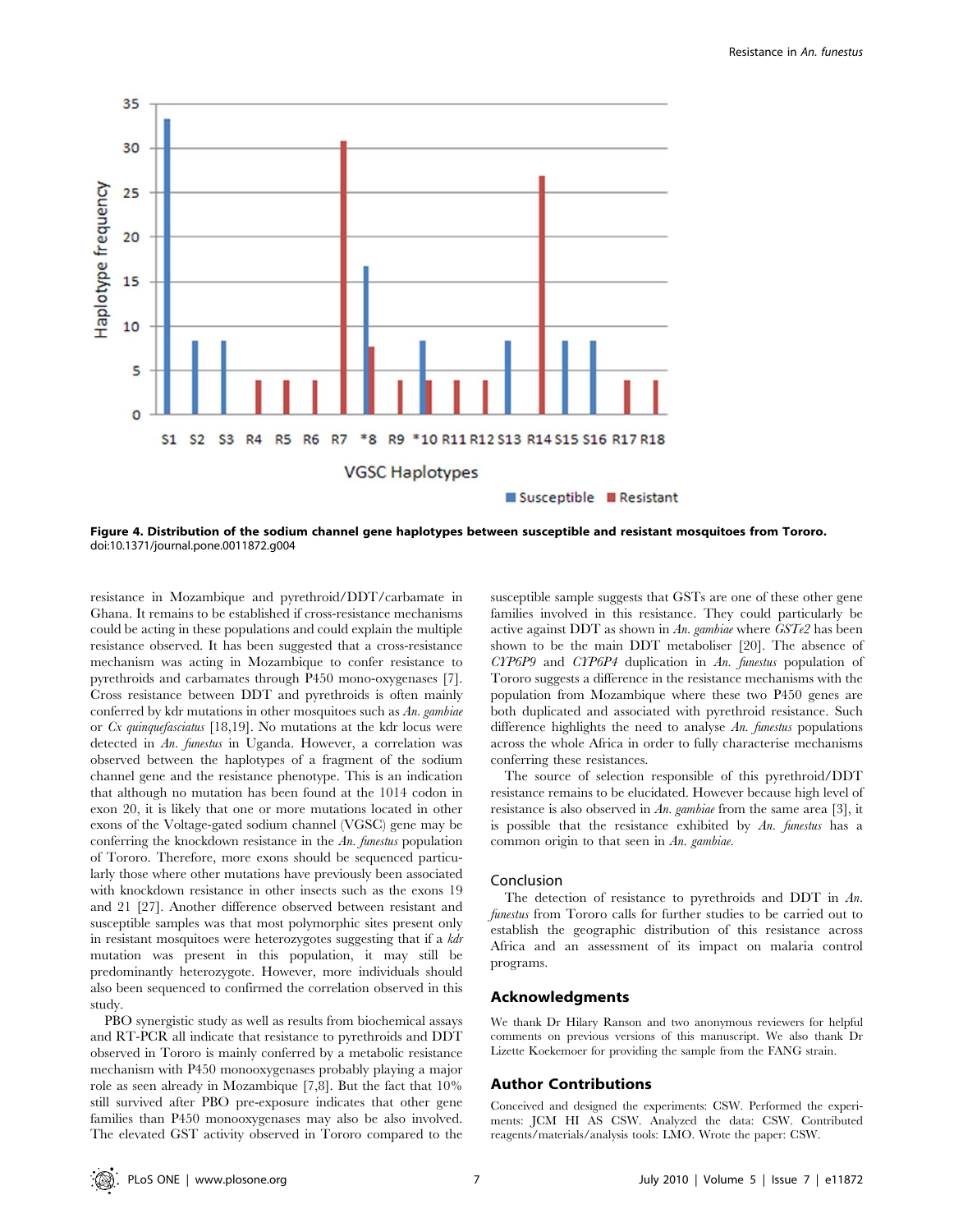

Figure 4. Distribution of the sodium channel gene haplotypes between susceptible and resistant mosquitoes from Tororo. doi:10.1371/journal.pone.0011872.g004

resistance in Mozambique and pyrethroid/DDT/carbamate in Ghana. It remains to be established if cross-resistance mechanisms could be acting in these populations and could explain the multiple resistance observed. It has been suggested that a cross-resistance mechanism was acting in Mozambique to confer resistance to pyrethroids and carbamates through P450 mono-oxygenases [7]. Cross resistance between DDT and pyrethroids is often mainly conferred by kdr mutations in other mosquitoes such as  $An$ . gambiae or Cx quinquefasciatus [18,19]. No mutations at the kdr locus were detected in An. funestus in Uganda. However, a correlation was observed between the haplotypes of a fragment of the sodium channel gene and the resistance phenotype. This is an indication that although no mutation has been found at the 1014 codon in exon 20, it is likely that one or more mutations located in other exons of the Voltage-gated sodium channel (VGSC) gene may be conferring the knockdown resistance in the An. funestus population of Tororo. Therefore, more exons should be sequenced particularly those where other mutations have previously been associated with knockdown resistance in other insects such as the exons 19 and 21 [27]. Another difference observed between resistant and susceptible samples was that most polymorphic sites present only in resistant mosquitoes were heterozygotes suggesting that if a kdr mutation was present in this population, it may still be predominantly heterozygote. However, more individuals should also been sequenced to confirmed the correlation observed in this study.

PBO synergistic study as well as results from biochemical assays and RT-PCR all indicate that resistance to pyrethroids and DDT observed in Tororo is mainly conferred by a metabolic resistance mechanism with P450 monooxygenases probably playing a major role as seen already in Mozambique [7,8]. But the fact that 10% still survived after PBO pre-exposure indicates that other gene families than P450 monooxygenases may also be also involved. The elevated GST activity observed in Tororo compared to the

susceptible sample suggests that GSTs are one of these other gene families involved in this resistance. They could particularly be active against DDT as shown in An. gambiae where  $GST_{e}2$  has been shown to be the main DDT metaboliser [20]. The absence of CYP6P9 and CYP6P4 duplication in An. funestus population of Tororo suggests a difference in the resistance mechanisms with the population from Mozambique where these two P450 genes are both duplicated and associated with pyrethroid resistance. Such difference highlights the need to analyse An. funestus populations across the whole Africa in order to fully characterise mechanisms conferring these resistances.

The source of selection responsible of this pyrethroid/DDT resistance remains to be elucidated. However because high level of resistance is also observed in An. gambiae from the same area [3], it is possible that the resistance exhibited by  $An.$  funestus has a common origin to that seen in An. gambiae.

#### Conclusion

The detection of resistance to pyrethroids and DDT in An. funestus from Tororo calls for further studies to be carried out to establish the geographic distribution of this resistance across Africa and an assessment of its impact on malaria control programs.

## Acknowledgments

We thank Dr Hilary Ranson and two anonymous reviewers for helpful comments on previous versions of this manuscript. We also thank Dr Lizette Koekemoer for providing the sample from the FANG strain.

#### Author Contributions

Conceived and designed the experiments: CSW. Performed the experiments: JCM HI AS CSW. Analyzed the data: CSW. Contributed reagents/materials/analysis tools: LMO. Wrote the paper: CSW.